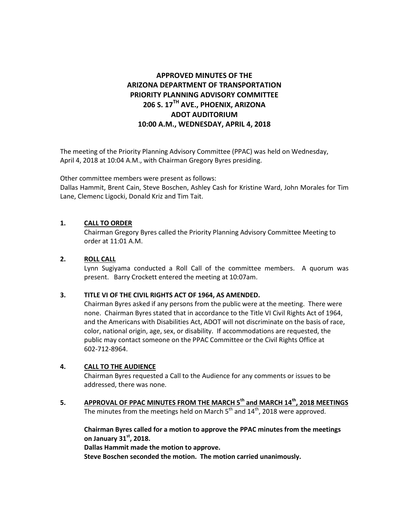# **APPROVED MINUTES OF THE ARIZONA DEPARTMENT OF TRANSPORTATION PRIORITY PLANNING ADVISORY COMMITTEE 206 S. 17TH AVE., PHOENIX, ARIZONA ADOT AUDITORIUM 10:00 A.M., WEDNESDAY, APRIL 4, 2018**

The meeting of the Priority Planning Advisory Committee (PPAC) was held on Wednesday, April 4, 2018 at 10:04 A.M., with Chairman Gregory Byres presiding.

Other committee members were present as follows:

Dallas Hammit, Brent Cain, Steve Boschen, Ashley Cash for Kristine Ward, John Morales for Tim Lane, Clemenc Ligocki, Donald Kriz and Tim Tait.

# **1. CALL TO ORDER**

Chairman Gregory Byres called the Priority Planning Advisory Committee Meeting to order at 11:01 A.M.

# **2. ROLL CALL**

Lynn Sugiyama conducted a Roll Call of the committee members. A quorum was present. Barry Crockett entered the meeting at 10:07am.

# **3. TITLE VI OF THE CIVIL RIGHTS ACT OF 1964, AS AMENDED.**

Chairman Byres asked if any persons from the public were at the meeting. There were none. Chairman Byres stated that in accordance to the Title VI Civil Rights Act of 1964, and the Americans with Disabilities Act, ADOT will not discriminate on the basis of race, color, national origin, age, sex, or disability. If accommodations are requested, the public may contact someone on the PPAC Committee or the Civil Rights Office at 602-712-8964.

# **4. CALL TO THE AUDIENCE**

Chairman Byres requested a Call to the Audience for any comments or issues to be addressed, there was none.

**5. APPROVAL OF PPAC MINUTES FROM THE MARCH 5th and MARCH 14th, 2018 MEETINGS** The minutes from the meetings held on March 5<sup>th</sup> and 14<sup>th</sup>, 2018 were approved.

**Chairman Byres called for a motion to approve the PPAC minutes from the meetings on January 31st , 2018.** 

**Dallas Hammit made the motion to approve.**

**Steve Boschen seconded the motion. The motion carried unanimously.**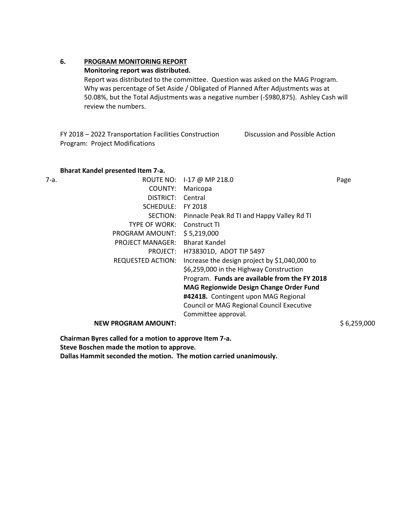# **6. PROGRAM MONITORING REPORT**

## **Monitoring report was distributed.**

Report was distributed to the committee. Question was asked on the MAG Program. Why was percentage of Set Aside / Obligated of Planned After Adjustments was at 50.08%, but the Total Adjustments was a negative number (-\$980,875). Ashley Cash will review the numbers.

FY 2018 – 2022 Transportation Facilities Construction Program: Project Modifications Discussion and Possible Action

## **Bharat Kandel presented Item 7-a.**

| 7-a.<br>ROUTE NO:          | 1-17 @ MP 218.0                                | Page        |
|----------------------------|------------------------------------------------|-------------|
| COUNTY:                    | Maricopa                                       |             |
| DISTRICT:                  | Central                                        |             |
| SCHEDULE:                  | FY 2018                                        |             |
| SECTION:                   | Pinnacle Peak Rd TI and Happy Valley Rd TI     |             |
| TYPE OF WORK:              | Construct TI                                   |             |
| PROGRAM AMOUNT:            | \$5,219,000                                    |             |
| <b>PROJECT MANAGER:</b>    | <b>Bharat Kandel</b>                           |             |
| PROJECT:                   | H738301D, ADOT TIP 5497                        |             |
| REQUESTED ACTION:          | Increase the design project by \$1,040,000 to  |             |
|                            | \$6,259,000 in the Highway Construction        |             |
|                            | Program. Funds are available from the FY 2018  |             |
|                            | <b>MAG Regionwide Design Change Order Fund</b> |             |
|                            | #42418. Contingent upon MAG Regional           |             |
|                            | Council or MAG Regional Council Executive      |             |
|                            | Committee approval.                            |             |
| <b>NEW PROGRAM AMOUNT:</b> |                                                | \$6,259,000 |

**Chairman Byres called for a motion to approve Item 7-a. Steve Boschen made the motion to approve. Dallas Hammit seconded the motion. The motion carried unanimously.**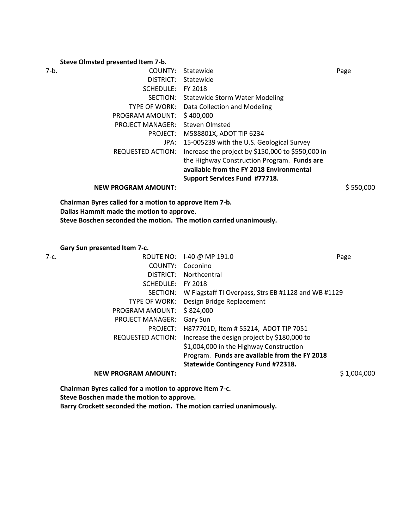#### **Steve Olmsted presented Item 7-b.**

| Statewide                                                                                                               | Page                                     |
|-------------------------------------------------------------------------------------------------------------------------|------------------------------------------|
| Statewide                                                                                                               |                                          |
| FY 2018                                                                                                                 |                                          |
| Statewide Storm Water Modeling                                                                                          |                                          |
| Data Collection and Modeling                                                                                            |                                          |
| \$400,000                                                                                                               |                                          |
| Steven Olmsted                                                                                                          |                                          |
| M588801X, ADOT TIP 6234                                                                                                 |                                          |
| 15-005239 with the U.S. Geological Survey                                                                               |                                          |
| Increase the project by \$150,000 to \$550,000 in                                                                       |                                          |
| the Highway Construction Program. Funds are                                                                             |                                          |
| available from the FY 2018 Environmental                                                                                |                                          |
| Support Services Fund #77718.                                                                                           |                                          |
|                                                                                                                         | \$550,000                                |
| COUNTY:<br>SCHEDULE:<br><b>TYPE OF WORK:</b><br><b>PROJECT MANAGER:</b><br>PROJECT:<br>JPA:<br><b>REQUESTED ACTION:</b> | DISTRICT:<br>SECTION:<br>PROGRAM AMOUNT: |

**Chairman Byres called for a motion to approve Item 7-b. Dallas Hammit made the motion to approve. Steve Boschen seconded the motion. The motion carried unanimously.**

**Gary Sun presented Item 7-c.** 

| 7-с. | ROUTE NO:                  | I-40 @ MP 191.0                                     | Page        |
|------|----------------------------|-----------------------------------------------------|-------------|
|      | COUNTY:                    | Coconino                                            |             |
|      | DISTRICT:                  | Northcentral                                        |             |
|      | SCHEDULE:                  | FY 2018                                             |             |
|      | SECTION:                   | W Flagstaff TI Overpass, Strs EB #1128 and WB #1129 |             |
|      | <b>TYPE OF WORK:</b>       | Design Bridge Replacement                           |             |
|      | PROGRAM AMOUNT:            | \$824,000                                           |             |
|      | <b>PROJECT MANAGER:</b>    | Gary Sun                                            |             |
|      | PROJECT:                   | H877701D, Item # 55214, ADOT TIP 7051               |             |
|      | <b>REQUESTED ACTION:</b>   | Increase the design project by \$180,000 to         |             |
|      |                            | \$1,004,000 in the Highway Construction             |             |
|      |                            | Program. Funds are available from the FY 2018       |             |
|      |                            | <b>Statewide Contingency Fund #72318.</b>           |             |
|      | <b>NEW PROGRAM AMOUNT:</b> |                                                     | \$1,004,000 |

**Chairman Byres called for a motion to approve Item 7-c.** 

**Steve Boschen made the motion to approve.**

**Barry Crockett seconded the motion. The motion carried unanimously.**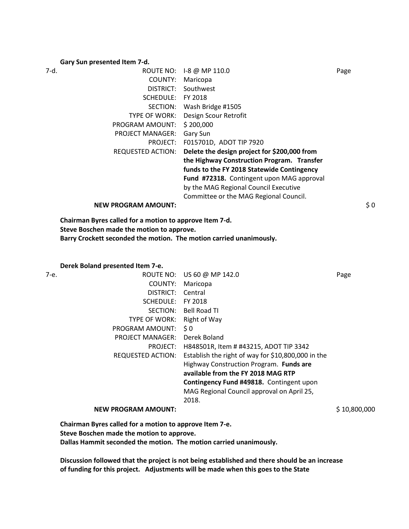#### **Gary Sun presented Item 7-d.**

| 7-d. | ROUTE NO:                  | I-8 @ MP 110.0                               | Page |
|------|----------------------------|----------------------------------------------|------|
|      | COUNTY:                    | Maricopa                                     |      |
|      | DISTRICT:                  | Southwest                                    |      |
|      | SCHEDULE:                  | FY 2018                                      |      |
|      | SECTION:                   | Wash Bridge #1505                            |      |
|      | <b>TYPE OF WORK:</b>       | Design Scour Retrofit                        |      |
|      | PROGRAM AMOUNT:            | \$200,000                                    |      |
|      | <b>PROJECT MANAGER:</b>    | Gary Sun                                     |      |
|      | PROJECT:                   | F015701D, ADOT TIP 7920                      |      |
|      | <b>REQUESTED ACTION:</b>   | Delete the design project for \$200,000 from |      |
|      |                            | the Highway Construction Program. Transfer   |      |
|      |                            | funds to the FY 2018 Statewide Contingency   |      |
|      |                            | Fund #72318. Contingent upon MAG approval    |      |
|      |                            | by the MAG Regional Council Executive        |      |
|      |                            | Committee or the MAG Regional Council.       |      |
|      | <b>NEW PROGRAM AMOUNT:</b> |                                              | \$0  |

**Chairman Byres called for a motion to approve Item 7-d. Steve Boschen made the motion to approve. Barry Crockett seconded the motion. The motion carried unanimously.**

#### **Derek Boland presented Item 7-e.**

| 7-е. | ROUTE NO:                  | US 60 @ MP 142.0                                   | Page         |
|------|----------------------------|----------------------------------------------------|--------------|
|      | COUNTY:                    | Maricopa                                           |              |
|      | DISTRICT:                  | Central                                            |              |
|      | SCHEDULE:                  | FY 2018                                            |              |
|      | SECTION:                   | Bell Road TI                                       |              |
|      | TYPE OF WORK:              | Right of Way                                       |              |
|      | PROGRAM AMOUNT:            | S <sub>0</sub>                                     |              |
|      | <b>PROJECT MANAGER:</b>    | Derek Boland                                       |              |
|      | PROJECT:                   | H848501R, Item # #43215, ADOT TIP 3342             |              |
|      | REQUESTED ACTION:          | Establish the right of way for \$10,800,000 in the |              |
|      |                            | Highway Construction Program. Funds are            |              |
|      |                            | available from the FY 2018 MAG RTP                 |              |
|      |                            | Contingency Fund #49818. Contingent upon           |              |
|      |                            | MAG Regional Council approval on April 25,         |              |
|      |                            | 2018.                                              |              |
|      | <b>NEW PROGRAM AMOUNT:</b> |                                                    | \$10,800,000 |

**Chairman Byres called for a motion to approve Item 7-e. Steve Boschen made the motion to approve. Dallas Hammit seconded the motion. The motion carried unanimously.**

**Discussion followed that the project is not being established and there should be an increase of funding for this project. Adjustments will be made when this goes to the State**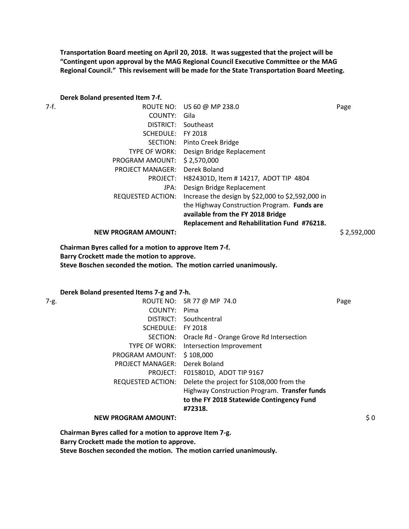**Transportation Board meeting on April 20, 2018. It was suggested that the project will be "Contingent upon approval by the MAG Regional Council Executive Committee or the MAG Regional Council." This revisement will be made for the State Transportation Board Meeting.** 

#### **Derek Boland presented Item 7-f.**

| 7-f. |                            | ROUTE NO: US 60 @ MP 238.0                        | Page        |
|------|----------------------------|---------------------------------------------------|-------------|
|      | COUNTY:                    | Gila                                              |             |
|      | DISTRICT:                  | Southeast                                         |             |
|      | SCHEDULE:                  | FY 2018                                           |             |
|      |                            | SECTION: Pinto Creek Bridge                       |             |
|      | <b>TYPE OF WORK:</b>       | Design Bridge Replacement                         |             |
|      | PROGRAM AMOUNT:            | \$2,570,000                                       |             |
|      | <b>PROJECT MANAGER:</b>    | Derek Boland                                      |             |
|      | PROJECT:                   | H824301D, Item #14217, ADOT TIP 4804              |             |
|      | JPA:                       | Design Bridge Replacement                         |             |
|      | REQUESTED ACTION:          | Increase the design by \$22,000 to \$2,592,000 in |             |
|      |                            | the Highway Construction Program. Funds are       |             |
|      |                            | available from the FY 2018 Bridge                 |             |
|      |                            | Replacement and Rehabilitation Fund #76218.       |             |
|      | <b>NEW PROGRAM AMOUNT:</b> |                                                   | \$2,592,000 |

**Chairman Byres called for a motion to approve Item 7-f. Barry Crockett made the motion to approve. Steve Boschen seconded the motion. The motion carried unanimously.** 

**Derek Boland presented Items 7-g and 7-h.** 

| 7-g.                                                    | ROUTE NO: SR 77 @ MP 74.0                    | Page            |
|---------------------------------------------------------|----------------------------------------------|-----------------|
| COUNTY:                                                 | Pima                                         |                 |
|                                                         | DISTRICT: Southcentral                       |                 |
| SCHEDULE:                                               | FY 2018                                      |                 |
| SECTION:                                                | Oracle Rd - Orange Grove Rd Intersection     |                 |
| TYPE OF WORK:                                           | Intersection Improvement                     |                 |
| PROGRAM AMOUNT:                                         | \$108,000                                    |                 |
| <b>PROJECT MANAGER:</b>                                 | Derek Boland                                 |                 |
|                                                         | PROJECT: F015801D, ADOT TIP 9167             |                 |
| <b>REQUESTED ACTION:</b>                                | Delete the project for \$108,000 from the    |                 |
|                                                         | Highway Construction Program. Transfer funds |                 |
|                                                         | to the FY 2018 Statewide Contingency Fund    |                 |
|                                                         | #72318.                                      |                 |
| <b>NEW PROGRAM AMOUNT:</b>                              |                                              | $\frac{1}{2}$ 0 |
| Chairman Byres called for a motion to approve Item 7-g. |                                              |                 |

**Barry Crockett made the motion to approve.**

**Steve Boschen seconded the motion. The motion carried unanimously.**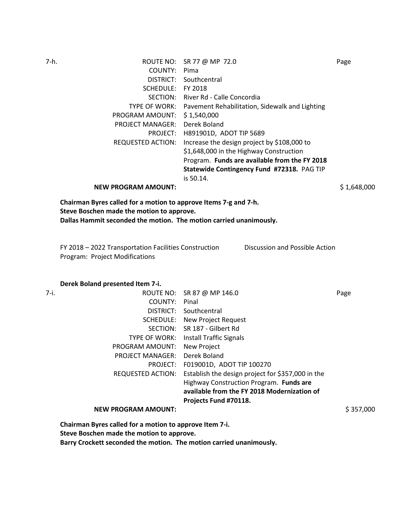| 7-h.                                                             | ROUTE NO: SR 77 @ MP 72.0                                    | Page        |
|------------------------------------------------------------------|--------------------------------------------------------------|-------------|
| COUNTY:                                                          | Pima                                                         |             |
| DISTRICT:                                                        | Southcentral                                                 |             |
|                                                                  | SCHEDULE: FY 2018                                            |             |
|                                                                  | SECTION: River Rd - Calle Concordia                          |             |
|                                                                  | TYPE OF WORK: Pavement Rehabilitation, Sidewalk and Lighting |             |
| PROGRAM AMOUNT:                                                  | \$1,540,000                                                  |             |
| <b>PROJECT MANAGER:</b>                                          | Derek Boland                                                 |             |
|                                                                  | PROJECT: H891901D, ADOT TIP 5689                             |             |
| REQUESTED ACTION:                                                | Increase the design project by \$108,000 to                  |             |
|                                                                  | \$1,648,000 in the Highway Construction                      |             |
|                                                                  | Program. Funds are available from the FY 2018                |             |
|                                                                  | Statewide Contingency Fund #72318. PAG TIP                   |             |
|                                                                  | is 50.14.                                                    |             |
| <b>NEW PROGRAM AMOUNT:</b>                                       |                                                              | \$1,648,000 |
| Chairman Byres called for a motion to approve Items 7-g and 7-h. |                                                              |             |

**Chairman Byres called for a motion to approve Items 7-g and Steve Boschen made the motion to approve. Dallas Hammit seconded the motion. The motion carried unanimously.** 

FY 2018 – 2022 Transportation Facilities Construction Program: Project Modifications

Discussion and Possible Action

#### **Derek Boland presented Item 7-i.**

| 7-i. |                                                         | ROUTE NO: SR 87 @ MP 146.0                        | Page      |
|------|---------------------------------------------------------|---------------------------------------------------|-----------|
|      | COUNTY:                                                 | Pinal                                             |           |
|      | DISTRICT:                                               | Southcentral                                      |           |
|      |                                                         | <b>SCHEDULE:</b> New Project Request              |           |
|      | SECTION:                                                | SR 187 - Gilbert Rd                               |           |
|      | TYPE OF WORK:                                           | Install Traffic Signals                           |           |
|      | PROGRAM AMOUNT:                                         | <b>New Project</b>                                |           |
|      | <b>PROJECT MANAGER:</b>                                 | Derek Boland                                      |           |
|      |                                                         | PROJECT: F019001D, ADOT TIP 100270                |           |
|      | REQUESTED ACTION:                                       | Establish the design project for \$357,000 in the |           |
|      |                                                         | Highway Construction Program. Funds are           |           |
|      |                                                         | available from the FY 2018 Modernization of       |           |
|      |                                                         | Projects Fund #70118.                             |           |
|      | <b>NEW PROGRAM AMOUNT:</b>                              |                                                   | \$357,000 |
|      | Chairman Byres called for a motion to approve Item 7-i. |                                                   |           |

**Steve Boschen made the motion to approve.**

**Barry Crockett seconded the motion. The motion carried unanimously.**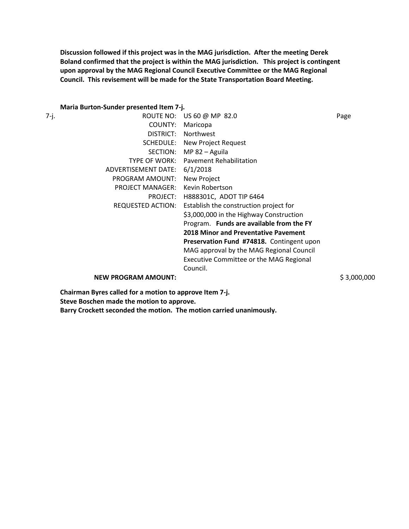**Discussion followed if this project was in the MAG jurisdiction. After the meeting Derek Boland confirmed that the project is within the MAG jurisdiction. This project is contingent upon approval by the MAG Regional Council Executive Committee or the MAG Regional Council. This revisement will be made for the State Transportation Board Meeting.** 

# **Maria Burton-Sunder presented Item 7-j.**

|      | <b>IVIALIA DUI LUII-SUITUEL PIESEITLEU ILEIII 7-J.</b> |                                                |             |
|------|--------------------------------------------------------|------------------------------------------------|-------------|
| 7-j. | ROUTE NO:                                              | US 60 @ MP 82.0                                | Page        |
|      | COUNTY:                                                | Maricopa                                       |             |
|      | DISTRICT:                                              | Northwest                                      |             |
|      | SCHEDULE:                                              | New Project Request                            |             |
|      | SECTION:                                               | MP 82 - Aguila                                 |             |
|      | TYPE OF WORK:                                          | <b>Pavement Rehabilitation</b>                 |             |
|      | ADVERTISEMENT DATE:                                    | 6/1/2018                                       |             |
|      | PROGRAM AMOUNT:                                        | New Project                                    |             |
|      | <b>PROJECT MANAGER:</b>                                | Kevin Robertson                                |             |
|      | PROJECT:                                               | H888301C, ADOT TIP 6464                        |             |
|      | REQUESTED ACTION:                                      | Establish the construction project for         |             |
|      |                                                        | \$3,000,000 in the Highway Construction        |             |
|      |                                                        | Program. Funds are available from the FY       |             |
|      |                                                        | <b>2018 Minor and Preventative Pavement</b>    |             |
|      |                                                        | Preservation Fund #74818. Contingent upon      |             |
|      |                                                        | MAG approval by the MAG Regional Council       |             |
|      |                                                        | <b>Executive Committee or the MAG Regional</b> |             |
|      |                                                        | Council.                                       |             |
|      | <b>NEW PROGRAM AMOUNT:</b>                             |                                                | \$3,000,000 |

**Chairman Byres called for a motion to approve Item 7-j. Steve Boschen made the motion to approve. Barry Crockett seconded the motion. The motion carried unanimously.**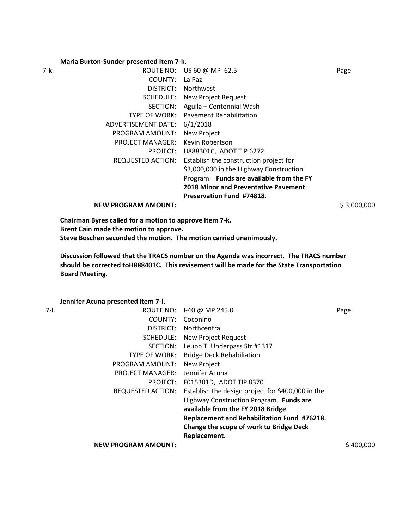#### **Maria Burton-Sunder presented Item 7-k.**

| 7-k. |                         | ROUTE NO: US 60 @ MP 62.5                   | Page |
|------|-------------------------|---------------------------------------------|------|
|      | COUNTY:                 | La Paz                                      |      |
|      | DISTRICT:               | Northwest                                   |      |
|      |                         | <b>SCHEDULE:</b> New Project Request        |      |
|      | SECTION:                | Aguila - Centennial Wash                    |      |
|      | TYPE OF WORK:           | <b>Pavement Rehabilitation</b>              |      |
|      | ADVERTISEMENT DATE:     | 6/1/2018                                    |      |
|      | PROGRAM AMOUNT:         | New Project                                 |      |
|      | <b>PROJECT MANAGER:</b> | Kevin Robertson                             |      |
|      | PROJECT:                | H888301C, ADOT TIP 6272                     |      |
|      | REQUESTED ACTION:       | Establish the construction project for      |      |
|      |                         | \$3,000,000 in the Highway Construction     |      |
|      |                         | Program. Funds are available from the FY    |      |
|      |                         | <b>2018 Minor and Preventative Pavement</b> |      |
|      |                         | <b>Preservation Fund #74818.</b>            |      |
|      |                         |                                             |      |

**NEW PROGRAM AMOUNT:**  $$3,000,000$ 

**Chairman Byres called for a motion to approve Item 7-k. Brent Cain made the motion to approve. Steve Boschen seconded the motion. The motion carried unanimously.** 

**Discussion followed that the TRACS number on the Agenda was incorrect. The TRACS number should be corrected toH888401C. This revisement will be made for the State Transportation Board Meeting.** 

**Jennifer Acuna presented Item 7-l.** 

| 7-I. | ROUTE NO:                  | I-40 @ MP 245.0                                   | Page      |
|------|----------------------------|---------------------------------------------------|-----------|
|      | COUNTY:                    | Coconino                                          |           |
|      | DISTRICT:                  | Northcentral                                      |           |
|      | SCHEDULE:                  | New Project Request                               |           |
|      | SECTION:                   | Leupp TI Underpass Str #1317                      |           |
|      | TYPE OF WORK:              | <b>Bridge Deck Rehabiliation</b>                  |           |
|      | PROGRAM AMOUNT:            | New Project                                       |           |
|      | <b>PROJECT MANAGER:</b>    | Jennifer Acuna                                    |           |
|      | PROJECT:                   | F015301D, ADOT TIP 8370                           |           |
|      | <b>REQUESTED ACTION:</b>   | Establish the design project for \$400,000 in the |           |
|      |                            | Highway Construction Program. Funds are           |           |
|      |                            | available from the FY 2018 Bridge                 |           |
|      |                            | Replacement and Rehabilitation Fund #76218.       |           |
|      |                            | Change the scope of work to Bridge Deck           |           |
|      |                            | Replacement.                                      |           |
|      | <b>NEW PROGRAM AMOUNT:</b> |                                                   | S 400.000 |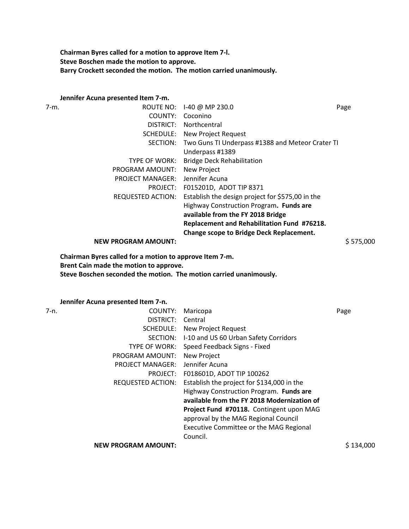**Chairman Byres called for a motion to approve Item 7-l. Steve Boschen made the motion to approve. Barry Crockett seconded the motion. The motion carried unanimously.** 

# **Jennifer Acuna presented Item 7-m.**<br>7-m. **ROUTE N**

| ROUTE NO:                  | I-40 @ MP 230.0                                  | Page                                             |
|----------------------------|--------------------------------------------------|--------------------------------------------------|
| COUNTY:                    | Coconino                                         |                                                  |
| DISTRICT:                  | Northcentral                                     |                                                  |
| SCHEDULE:                  | New Project Request                              |                                                  |
| SECTION:                   |                                                  |                                                  |
|                            | Underpass #1389                                  |                                                  |
| <b>TYPE OF WORK:</b>       | <b>Bridge Deck Rehabilitation</b>                |                                                  |
| PROGRAM AMOUNT:            | New Project                                      |                                                  |
| <b>PROJECT MANAGER:</b>    | Jennifer Acuna                                   |                                                  |
| PROJECT:                   | F015201D, ADOT TIP 8371                          |                                                  |
| <b>REQUESTED ACTION:</b>   | Establish the design project for \$575,00 in the |                                                  |
|                            | Highway Construction Program. Funds are          |                                                  |
|                            | available from the FY 2018 Bridge                |                                                  |
|                            | Replacement and Rehabilitation Fund #76218.      |                                                  |
|                            | <b>Change scope to Bridge Deck Replacement.</b>  |                                                  |
| <b>NEW PROGRAM AMOUNT:</b> |                                                  | \$575,000                                        |
|                            |                                                  | Two Guns TI Underpass #1388 and Meteor Crater TI |

**Chairman Byres called for a motion to approve Item 7-m. Brent Cain made the motion to approve. Steve Boschen seconded the motion. The motion carried unanimously.** 

**Jennifer Acuna presented Item 7-n.** 

| 7-n. | COUNTY:                    | Maricopa                                    | Page      |
|------|----------------------------|---------------------------------------------|-----------|
|      | DISTRICT:                  | Central                                     |           |
|      | SCHEDULE:                  | New Project Request                         |           |
|      | SECTION:                   | I-10 and US 60 Urban Safety Corridors       |           |
|      | <b>TYPE OF WORK:</b>       | Speed Feedback Signs - Fixed                |           |
|      | PROGRAM AMOUNT:            | <b>New Project</b>                          |           |
|      | <b>PROJECT MANAGER:</b>    | Jennifer Acuna                              |           |
|      | PROJECT:                   | F018601D, ADOT TIP 100262                   |           |
|      | REQUESTED ACTION:          | Establish the project for \$134,000 in the  |           |
|      |                            | Highway Construction Program. Funds are     |           |
|      |                            | available from the FY 2018 Modernization of |           |
|      |                            | Project Fund #70118. Contingent upon MAG    |           |
|      |                            | approval by the MAG Regional Council        |           |
|      |                            | Executive Committee or the MAG Regional     |           |
|      |                            | Council.                                    |           |
|      | <b>NEW PROGRAM AMOUNT:</b> |                                             | S 134.000 |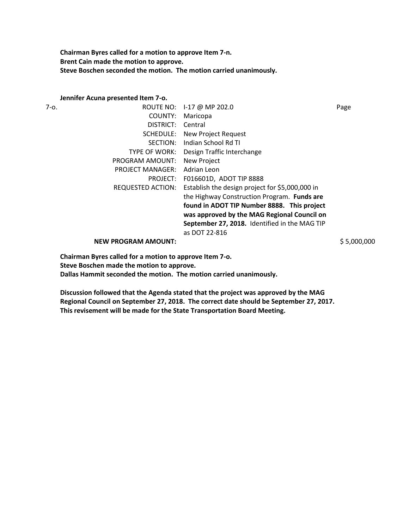**Chairman Byres called for a motion to approve Item 7-n. Brent Cain made the motion to approve. Steve Boschen seconded the motion. The motion carried unanimously.** 

#### **Jennifer Acuna presented Item 7-o.**

| 7-o. |                            | ROUTE NO: 1-17 @ MP 202.0                       | Page        |
|------|----------------------------|-------------------------------------------------|-------------|
|      | COUNTY:                    | Maricopa                                        |             |
|      | DISTRICT:                  | Central                                         |             |
|      | SCHEDULE:                  | New Project Request                             |             |
|      | SECTION:                   | Indian School Rd TI                             |             |
|      | TYPE OF WORK:              | Design Traffic Interchange                      |             |
|      | PROGRAM AMOUNT:            | New Project                                     |             |
|      | <b>PROJECT MANAGER:</b>    | Adrian Leon                                     |             |
|      | PROJECT:                   | F016601D, ADOT TIP 8888                         |             |
|      | REQUESTED ACTION:          | Establish the design project for \$5,000,000 in |             |
|      |                            | the Highway Construction Program. Funds are     |             |
|      |                            | found in ADOT TIP Number 8888. This project     |             |
|      |                            | was approved by the MAG Regional Council on     |             |
|      |                            | September 27, 2018. Identified in the MAG TIP   |             |
|      |                            | as DOT 22-816                                   |             |
|      | <b>NEW PROGRAM AMOUNT:</b> |                                                 | \$5,000,000 |
|      |                            |                                                 |             |

**Chairman Byres called for a motion to approve Item 7-o.** 

**Steve Boschen made the motion to approve.**

**Dallas Hammit seconded the motion. The motion carried unanimously.** 

**Discussion followed that the Agenda stated that the project was approved by the MAG Regional Council on September 27, 2018. The correct date should be September 27, 2017. This revisement will be made for the State Transportation Board Meeting.**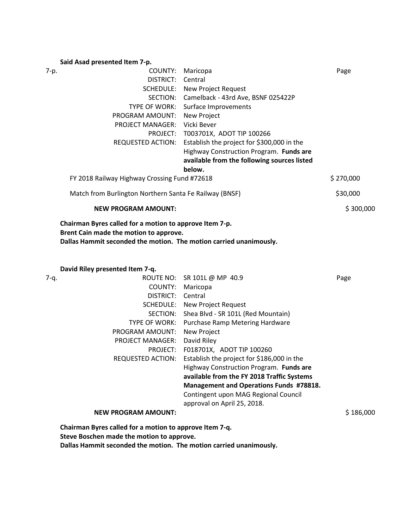#### **Said Asad presented Item 7-p.**

| 7-p.                                         | COUNTY:                                                                                           | Maricopa                                    | Page      |
|----------------------------------------------|---------------------------------------------------------------------------------------------------|---------------------------------------------|-----------|
|                                              | DISTRICT:                                                                                         | Central                                     |           |
|                                              |                                                                                                   | <b>SCHEDULE:</b> New Project Request        |           |
|                                              | SECTION:                                                                                          | Camelback - 43rd Ave, BSNF 025422P          |           |
|                                              | <b>TYPE OF WORK:</b>                                                                              | Surface Improvements                        |           |
|                                              | PROGRAM AMOUNT:                                                                                   | New Project                                 |           |
|                                              | <b>PROJECT MANAGER:</b>                                                                           | Vicki Bever                                 |           |
|                                              |                                                                                                   | PROJECT: T003701X, ADOT TIP 100266          |           |
|                                              | REQUESTED ACTION:                                                                                 | Establish the project for \$300,000 in the  |           |
|                                              |                                                                                                   | Highway Construction Program. Funds are     |           |
|                                              |                                                                                                   | available from the following sources listed |           |
|                                              |                                                                                                   | below.                                      |           |
| FY 2018 Railway Highway Crossing Fund #72618 |                                                                                                   | \$270,000                                   |           |
|                                              | Match from Burlington Northern Santa Fe Railway (BNSF)                                            |                                             | \$30,000  |
|                                              | <b>NEW PROGRAM AMOUNT:</b>                                                                        |                                             | \$300,000 |
|                                              | Chairman Byres called for a motion to approve Item 7-p.<br>Brent Cain made the motion to approve. |                                             |           |

**Dallas Hammit seconded the motion. The motion carried unanimously.** 

**David Riley presented Item 7-q.** 

| 7-q. |                                                         | ROUTE NO: SR 101L @ MP 40.9                    | Page      |
|------|---------------------------------------------------------|------------------------------------------------|-----------|
|      | COUNTY:                                                 | Maricopa                                       |           |
|      | DISTRICT:                                               | Central                                        |           |
|      | SCHEDULE:                                               | New Project Request                            |           |
|      | SECTION:                                                | Shea Blvd - SR 101L (Red Mountain)             |           |
|      | <b>TYPE OF WORK:</b>                                    | Purchase Ramp Metering Hardware                |           |
|      | PROGRAM AMOUNT:                                         | New Project                                    |           |
|      | <b>PROJECT MANAGER:</b>                                 | David Riley                                    |           |
|      | PROJECT:                                                | F018701X, ADOT TIP 100260                      |           |
|      | REQUESTED ACTION:                                       | Establish the project for \$186,000 in the     |           |
|      |                                                         | Highway Construction Program. Funds are        |           |
|      |                                                         | available from the FY 2018 Traffic Systems     |           |
|      |                                                         | <b>Management and Operations Funds #78818.</b> |           |
|      |                                                         | Contingent upon MAG Regional Council           |           |
|      |                                                         | approval on April 25, 2018.                    |           |
|      | <b>NEW PROGRAM AMOUNT:</b>                              |                                                | \$186,000 |
|      | Chairman Byres called for a motion to approve Item 7-q. |                                                |           |

**Steve Boschen made the motion to approve.**

**Dallas Hammit seconded the motion. The motion carried unanimously.**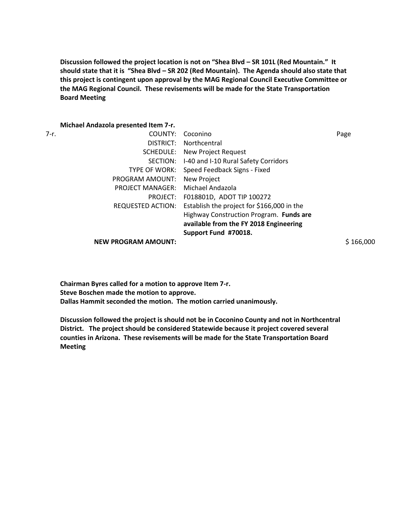**Discussion followed the project location is not on "Shea Blvd – SR 101L (Red Mountain." It should state that it is "Shea Blvd – SR 202 (Red Mountain). The Agenda should also state that this project is contingent upon approval by the MAG Regional Council Executive Committee or the MAG Regional Council. These revisements will be made for the State Transportation Board Meeting** 

# **Michael Andazola presented Item 7-r.**

|      | <u>IVIICHAEI AHUAZUIA PIESEHIEU ILEHI 7-1.</u> |                                                              |           |
|------|------------------------------------------------|--------------------------------------------------------------|-----------|
| 7-r. | COUNTY:                                        | Coconino                                                     | Page      |
|      | DISTRICT:                                      | Northcentral                                                 |           |
|      | SCHEDULE:                                      | New Project Request                                          |           |
|      |                                                | SECTION: I-40 and I-10 Rural Safety Corridors                |           |
|      |                                                | TYPE OF WORK: Speed Feedback Signs - Fixed                   |           |
|      | PROGRAM AMOUNT:                                | New Project                                                  |           |
|      | <b>PROJECT MANAGER:</b>                        | Michael Andazola                                             |           |
|      |                                                | PROJECT: F018801D, ADOT TIP 100272                           |           |
|      |                                                | REQUESTED ACTION: Establish the project for \$166,000 in the |           |
|      |                                                | Highway Construction Program. Funds are                      |           |
|      |                                                | available from the FY 2018 Engineering                       |           |
|      |                                                | Support Fund #70018.                                         |           |
|      | <b>NEW PROGRAM AMOUNT:</b>                     |                                                              | \$166,000 |

**Chairman Byres called for a motion to approve Item 7-r. Steve Boschen made the motion to approve. Dallas Hammit seconded the motion. The motion carried unanimously.** 

**Discussion followed the project is should not be in Coconino County and not in Northcentral District. The project should be considered Statewide because it project covered several counties in Arizona. These revisements will be made for the State Transportation Board Meeting**